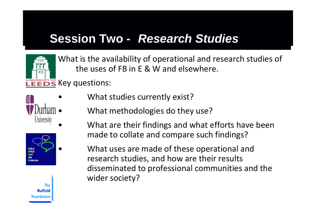# **Session Two -** *Research Studies*



What is the availability of operational and research studies of the uses of FB in E&W and elsewhere.

**LEEDS** Key questions:







- What studies currently exist?
- What methodologies do they use?
- What are their findings and what efforts have been made to collate and compare such findings?
	- What uses are made of these operational and research studies, and how are their results disseminated to professional communities and the wider society?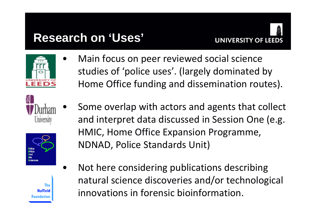# **Research on 'Uses'**



 $\bullet$ 

•

studies of 'police uses'. (largely dominated by Home Office funding and dissemination routes).

Main focus on peer reviewed social science





The **Nuffield** oundation

- Some overlap with actors and agents that collect and interpret data discussed in Session One (e.g. HMIC, Home Office Expansion Programme, NDNAD, Police Standards Unit)
- • Not here considering publications describing natural science discoveries and/or technological innovations in forensic bioinformation.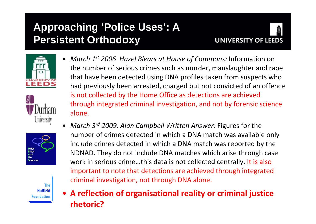### **Approaching 'Police Uses': A Persistent Orthodoxy**









**The Nuffield Foundation** 

- *March 1st 2006 Hazel Blears at House of Commons:* Information on the number of serious crimes such as murder, manslaughter and rape that have been detected using DNA profiles taken from suspects who had previously been arrested, charged but not convicted of an offence is not collected by the Home Office as detections are achieved through integrated criminal investigation, and not by forensic science alone.
- *March 3r<sup>d</sup> 2009. Alan Campbell Written Answer*: Figures for the number of crimes detected in which a DNA match was available only include crimes detected in which a DNA match was reported by the NDNAD. They do not include DNA matches which arise through case work in serious crime…this data is not collected centrally. It is also important to note that detections are achieved through integrated criminal investigation, not through DNA alone.
- **A reflection of organisational reality or criminal justice rhetoric?**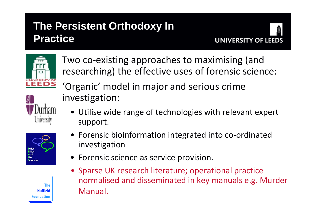## **The Persistent Orthodoxy In Practice**





University

The **Nuffield** Foundation

Ethics



Two co ‐existing approaches to maximising (and

• Utilise wide range of technologies with relevant expert support.



- Forensic science as service provision.
- Sparse UK research literature; operational practice normalised and disseminated in key manuals e.g. Murder Manual.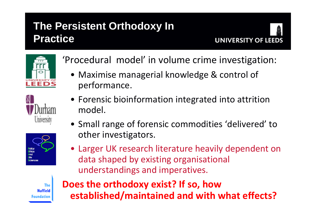## **The Persistent Orthodoxy In Practice**





University



'Procedural model' in volume crime investigation:

- Maximise managerial knowledge & control of performance.
- Forensic bioinformation integrated into attrition model.
- Small range of forensic commodities 'delivered' to other investigators.
- Larger UK research literature heavily dependent on data shaped by existing organisational understandings and imperatives.

**The Nuffield** Foundation **Does the orthodoxy exist? If so, how established/maintained and with what effects?**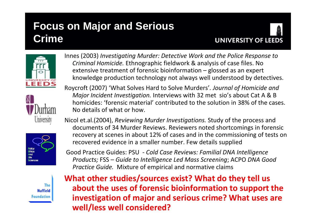# **Focus on Major and Serious Crime**









**The Nuffield Foundation**  Innes (2003) *Investigating Murder: Detective Work and the Police Response to Criminal Homicide.* Ethnographic fieldwork & analysis of case files. No extensive treatment of forensic bioinformation – glossed as an expert knowledge production technology not always well understood by detectives.

Roycroft (2007) 'What Solves Hard to Solve Murders'*. Journal of Homicide and Major Incident Investigation.* Interviews with 32 met sio's about Cat A & B homicides: 'forensic material' contributed to the solution in 38% of the cases. No details of what or how.

Nicol et.al.(2004), *Reviewing Murder Investigations.* Study of the process and documents of 34 Murder Reviews. Reviewers noted shortcomings in forensic recovery at scenes in about 12% of cases and in the commissioning of tests on recovered evidence in a smaller number. Few details supplied

Good Practice Guides: PSU ‐ *Cold Case Reviews: Familial DNA Intelligence Products;* FSS – *Guide to Intelligence Led Mass Screening*; ACPO *DNA Good Practice Guide.* Mixture of empirical and normative claims

**What other studies/sources exist? What do they tell us about the uses of forensic bioinformation to support the investigation of major and serious crime? What uses are well/less well considered?**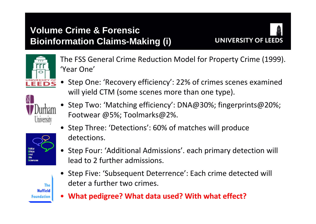#### **Volume Crime & Forensic Bioinformation Claims-Making (i)**





The FSS General Crime Reduction Model for Property Crime (1999). 'Year One'

• Step One: 'Recovery efficiency': 22% of crimes scenes examined will yield CTM (some scenes more than one type).



- Step Two: 'Matching efficiency': DNA@30%; fingerprints@20%; Footwear @5%; Toolmarks@2%.
- Step Three: 'Detections': 60% of matches will produce detections.



**The Nuffield** Foundation

- Step Four: 'Additional Admissions'. each primary detection will lead to2 further admissions.
- Step Five: 'Subsequent Deterrence': Each crime detected will deter a further two crimes.
- **What pedigree? What data used? With what effect?**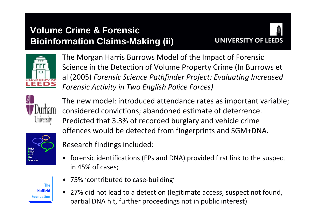#### **Volume Crime & Forensic Bioinformation Claims-Making (ii)**





The Morgan Harris Burrows Model of the Impact of Forensic Science in the Detection of Volume Property Crime (In Burrows et al (2005) *Forensic Science Pathfinder Project: Evaluating Increased Forensic Activity in Two English Police Forces)*



The new model: introduced attendance rates as important variable; considered convictions; abandoned estimate of deterrence. Predicted that 3.3% of recorded burglary and vehicle crime offences would be detected from fingerprints and SGM+DNA.



**The Nuffield Foundation** 

- Research findings included:
- forensic identifications (FPs and DNA) provided first link to the suspect in 45% of cases;
- 75% 'contributed to case-building'
- 27% did not lead to a detection (legitimate access, suspect not found, partial DNA hit, further proceedings not in public interest)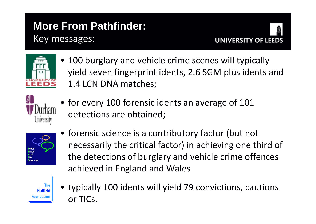## **More From Pathfinder:**  Key messages:





• 100 burglary and vehicle crime scenes will typically yield seven fingerprint idents, 2.6 SGM plus idents and 1.4 LCN DNA matches;



• for every 100 forensic idents an average of 101 detections are obtained;



• forensic science is a contributory factor (but not necessarily the critical factor) in achieving one third of the detections of burglary and vehicle crime offences achieved in England and Wales



• typically 100 idents will yield 79 convictions, cautions or TICs.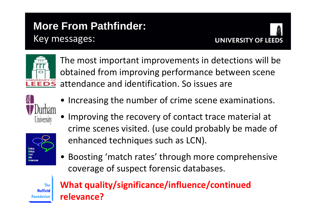### **More From Pathfinder:**  Key messages:





The most important improvements in detections will be obtained from improving performance between scene attendance and identification. So issues are



• Increasing the number of crime scene examinations.

• Improving the recovery of contact trace material at crime scenes visited. (use could probably be made of enhanced techniques such as LCN).



• Boosting 'match rates' through more comprehensive coverage of suspect forensic databases.



#### **What quality/significance/influence/continued relevance?**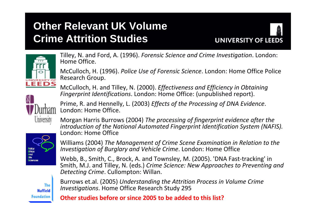## **Other Relevant UK Volume Crime Attrition Studies**





Tilley, N. and Ford, A. (1996). *Forensic Science and Crime Investigation*. London: Home Office.

McCulloch, H. (1996). *Police Use of Forensic Science*. London: Home Office Police Research Group.

McCulloch, H. and Tilley, N. (2000). *Effectiveness and Efficiency in Obtaining Fingerprint Identifications*. London: Home Office: (unpublished report).

University

Prime, R. and Hennelly, L. (2003) *Effects of the Processing of DNA Evidence*. London: Home Office.

Morgan Harris Burrows (2004) *The processing of fingerprint evidence after the introduction of the National Automated Fingerprint Identification System (NAFIS).* London: Home Office



Williams (2004) *The Management of Crime Scene Examination in Relation to the Investigation of Burglary and Vehicle Crime*. London: Home Office

Webb, B., Smith, C., Brock, A. and Townsley, M. (2005). 'DNA Fast‐tracking' in Smith, M.J. and Tilley, N. (eds.) *Crime Science: New Approaches to Preventing and Detecting Crime*. Cullompton: Willan.

**The Nuffield Foundation** 

Burrows et.al. (2005) *Understanding the Attrition Process in Volume Crime Investigations*. Home Office Research Study 295

**Other studies before or since 2005 to be added to this list?**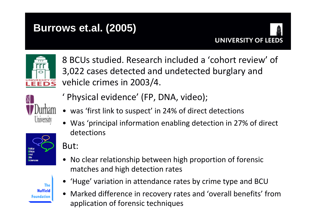### **Burrows et.al. (2005)**





8 BCUs studied. Research included a 'cohort review' of 3,022 cases detected and undetected burglary and vehicle crimes in 2003/4.



- ' Physical evidence' (FP, DNA, video);
- was 'first link to suspect' in 24% of direct detections
- Was 'principal information enabling detection in 27% of direct detections



The **Nuffield Foundation**  But:

- No clear relationship between high proportion of forensic matches and high detection rates
	- 'Huge' variation in attendance rates by crime type and BCU
	- Marked difference in recovery rates and 'overall benefits' from application of forensic techniques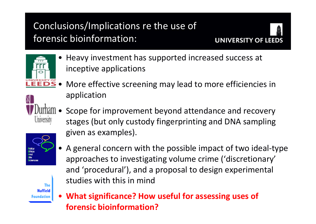### Conclusions/Implications re the use of forensic bioinformation:





• Heavy investment has supported increased success at inceptive applications



- • More effective screening may lead to more efficiencies in application
- • Scope for improvement beyond attendance and recovery stages (but only custody fingerprinting and DNA sampling given as examples).



• A general concern with the possible impact of two ideal ‐type approaches to investigating volume crime ('discretionary' and 'procedural'), and a proposal to design experimental studies with this in mind

The **Nuffield** Foundation

• **What significance? How useful for assessing uses of forensic bioinformation?**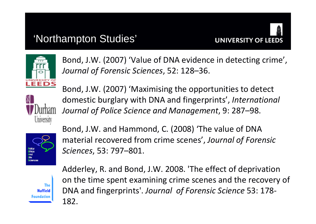#### 'Northampton Studies'





Bond, J.W. (2007) 'Value of DNA evidence in detecting crime', *Journal of Forensic Sciences*, 52: 128–36.



Bond, J.W. (2007) 'Maximising the opportunities to detect domestic burglary with DNA and fingerprints', *International Journal of Police Science and Management*, 9: 287–98.



Bond, J.W. and Hammond, C. (2008) 'The value of DNA material recovered from crime scenes', *Journal of Forensic Sciences*, 53: 797–801.



Adderley, R. and Bond, J.W. 2008. 'The effect of deprivation on the time spent examining crime scenes and the recovery of DNA and fingerprints'. *Journal of Forensic Science* 53: 178 ‐ 182.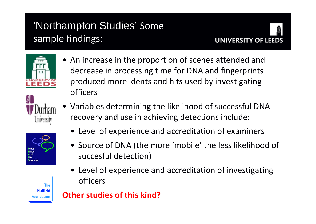# 'Northampton Studies' Some sample findings:





University

The **Nuffield** <sup>:</sup>oundation

Ethics **Ind** 



• An increase in the proportion of scenes attended and

decrease in processing time for DNA and fingerprints

produced more idents and hits used by investigating

- Level of experience and accreditation of examiners
- Source of DNA (the more 'mobile' the less likelihood of succesful detection)
- Level of experience and accreditation of investigating officers

**Other studies of this kind?**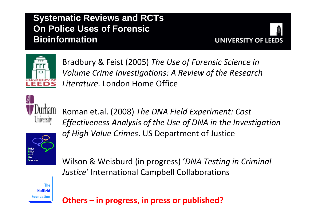#### **Systematic Reviews and RCTs On Police Uses of Forensic Bioinformation**





Bradbury & Feist (2005) *The Use of Forensic Science in Volume Crime Investigations: A Review of the Research Literature.* London Home Office



Roman et.al. (2008) *The DNA Field Experiment: Cost Effectiveness Analysis of the Use of DNA in the Investigation of High Value Crimes*. US Department of Justice



Wilson & Weisburd (in progress) '*DNA Testing in Criminal Justice*' International Campbell Collaborations

The **Nuffield** Foundation

**Others – i n progress, in press or published?**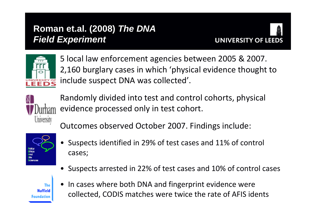#### **Roman et.al. (2008)** *The DNA Field Experiment*





5 local law enforcement agencies between 2005 & 2007. 2,160 burglary cases in which 'physical evidence thought to include suspect DNA was collected'.



Randomly divided into test and control cohorts, physical evidence processed only in test cohort.

Outcomes observed October 2007. Findings include:



- • Suspects identified in 29% of test cases and 11% of control cases;
- Suspects arrested in 22% of test cases and 10% of control cases



•• In cases where both DNA and fingerprint evidence were collected, CODIS matches were twice the rate of AFIS idents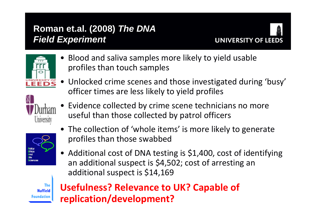#### **Roman et.al. (2008)** *The DNA Field Experiment*





• Blood and saliva samples more likely to yield usable profiles than touch samples



- Unlocked crime scenes and those investigated during 'busy' officer times are less likely to yield profiles
- Evidence collected by crime scene technicians no more useful than those collected by patrol officers



- The collection of 'whole items' is more likely to generate profiles than those swabbed
- Additional cost of DNA testing is \$1,400, cost of identifying an additional suspect is \$4,502; cost of arresting an additional suspect is \$14,169



#### **Usefulness? Relevance to UK? Capable of replication/development?**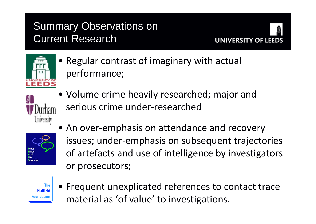## Summary Observations on Current Research





• Regular contrast of imaginary with actual performance;



• Volume crime heavily researched; major and serious crime under ‐researched



• An over-emphasis on attendance and recovery issues; under ‐emphasis on subsequent trajectories of artefacts and use of intelligence by investigators or prosecutors;



• Frequent unexplicated references to contact trace material as 'of value' to investigations.